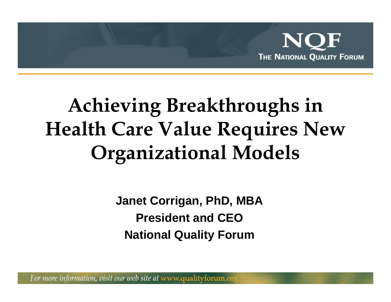

## **Achieving Breakthroughs in Health Care Value Requires New Organizational Models**

**Janet Corrigan, PhD, MBA President and CEONational Quality Forum**

For more information, visit our web site at www.qualityforum.or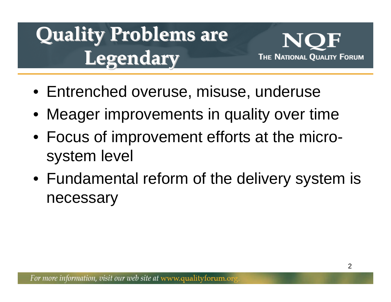# **Quality Problems are Quality Problems are Legendary Legendary**



- Entrenched overuse, misuse, underuse
- Meager improvements in quality over time
- Focus of improvement efforts at the microsystem level
- Fundamental reform of the delivery system is necessary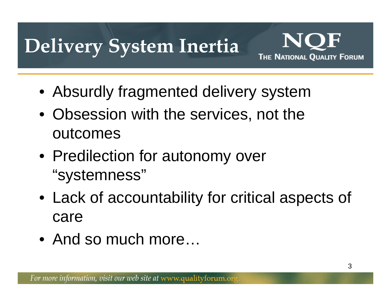## **Delivery System Inertia**



- Absurdly fragmented delivery system
- Obsession with the services, not the outcomes
- Predilection for autonomy over "systemness"
- Lack of accountability for critical aspects of care
- And so much more…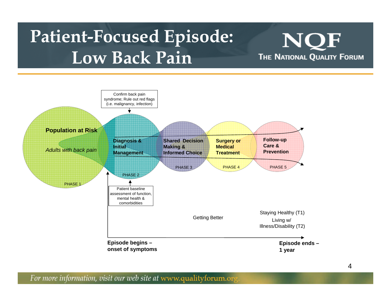### **Patient-Focused Episode: Low Back Pain**

![](_page_3_Figure_1.jpeg)

![](_page_3_Figure_2.jpeg)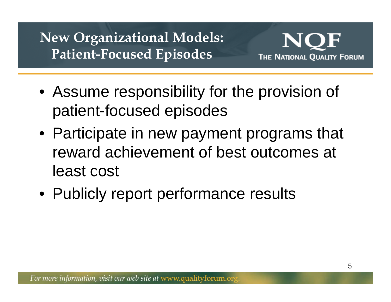#### **New Organizational Models: Patient-Focused Episodes**

![](_page_4_Picture_1.jpeg)

- Assume responsibility for the provision of patient-focused episodes
- Participate in new payment programs that reward achievement of best outcomes at least cost
- Publicly report performance results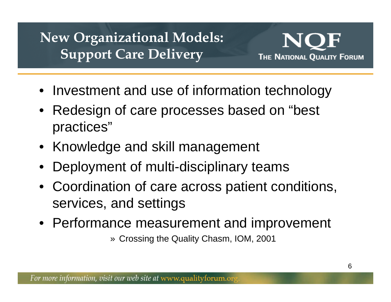#### **New Organizational Models: Support Care Delivery**

![](_page_5_Picture_1.jpeg)

- Investment and use of information technology
- Redesign of care processes based on "best practices"
- Knowledge and skill management
- •Deployment of multi-disciplinary teams
- Coordination of care across patient conditions, services, and settings
- Performance measurement and improvement

» Crossing the Quality Chasm, IOM, 2001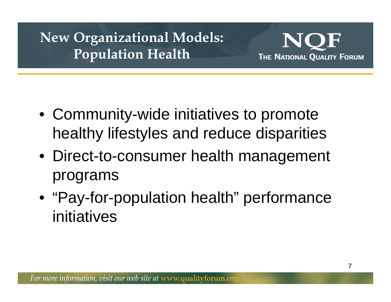#### **New Organizational Models: Population Health**

![](_page_6_Picture_1.jpeg)

- Community-wide initiatives to promote healthy lifestyles and reduce disparities
- Direct-to-consumer health management programs
- "Pay-for-population health" performance initiatives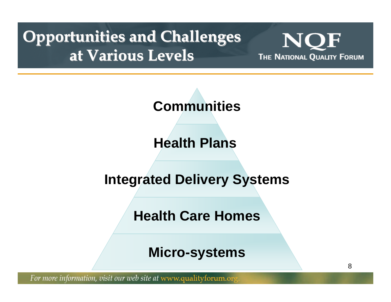#### **Opportunities and Challenges at Various Levels at Various Levels**

NC THE NATIONAL QUALITY FORUM

8

![](_page_7_Figure_2.jpeg)

**Health Plans** 

**Integrated Delivery Systems**

**Health Care Homes**

**Micro-systems**

For more information, visit our web site at www.qualityforum.org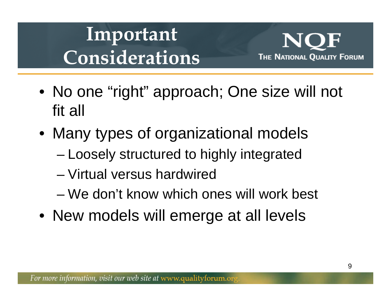## **Important Considerations**

![](_page_8_Picture_1.jpeg)

- No one "right" approach; One size will not fit all
- Many types of organizational models
	- –Loosely structured to highly integrated
	- Virtual versus hardwired
	- We don't know which ones will work best
- New models will emerge at all levels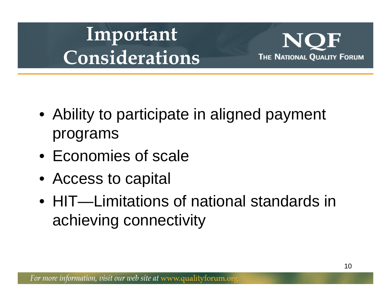## **Important Considerations**

![](_page_9_Picture_1.jpeg)

- Ability to participate in aligned payment programs
- Economies of scale
- Access to capital
- HIT—Limitations of national standards in achieving connectivity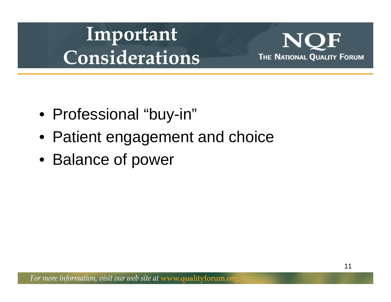## **Important Considerations**

NC THE NATIONAL QUALITY FORUM

- Professional "buy-in"
- Patient engagement and choice
- Balance of power